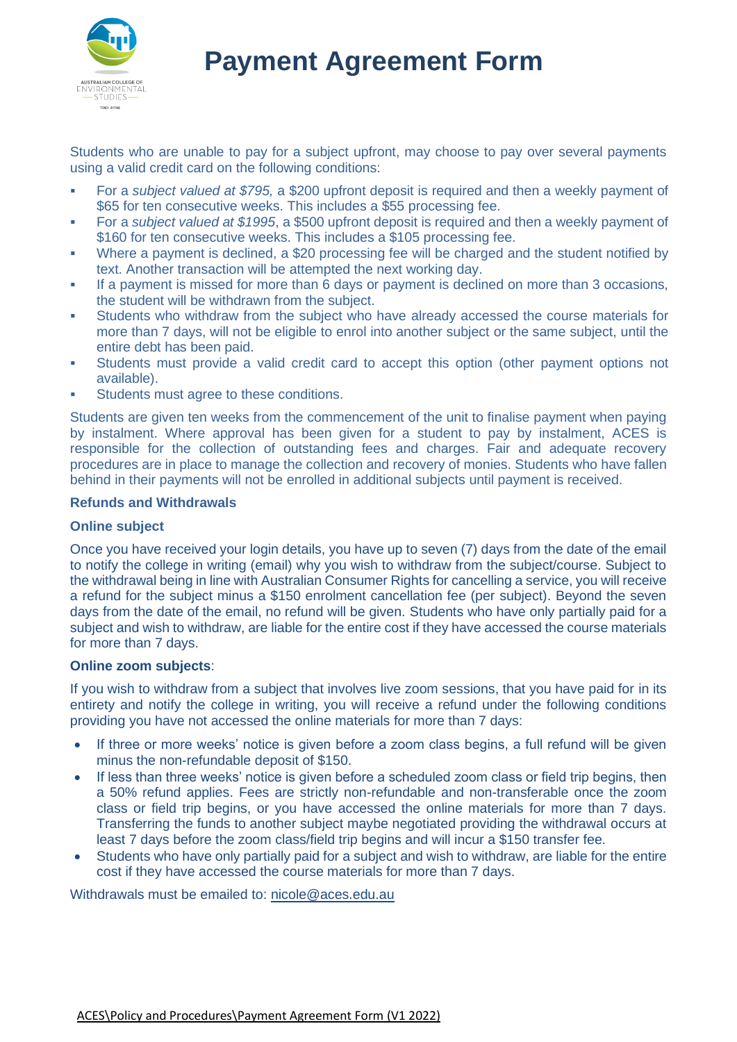

# **Payment Agreement Form**

Students who are unable to pay for a subject upfront, may choose to pay over several payments using a valid credit card on the following conditions:

- For a *subject valued at \$795,* a \$200 upfront deposit is required and then a weekly payment of \$65 for ten consecutive weeks. This includes a \$55 processing fee.
- For a *subject valued at \$1995*, a \$500 upfront deposit is required and then a weekly payment of \$160 for ten consecutive weeks. This includes a \$105 processing fee.
- Where a payment is declined, a \$20 processing fee will be charged and the student notified by text. Another transaction will be attempted the next working day.
- If a payment is missed for more than 6 days or payment is declined on more than 3 occasions, the student will be withdrawn from the subject.
- Students who withdraw from the subject who have already accessed the course materials for more than 7 days, will not be eligible to enrol into another subject or the same subject, until the entire debt has been paid.
- Students must provide a valid credit card to accept this option (other payment options not available).
- Students must agree to these conditions.

Students are given ten weeks from the commencement of the unit to finalise payment when paying by instalment. Where approval has been given for a student to pay by instalment, ACES is responsible for the collection of outstanding fees and charges. Fair and adequate recovery procedures are in place to manage the collection and recovery of monies. Students who have fallen behind in their payments will not be enrolled in additional subjects until payment is received.

## **Refunds and Withdrawals**

## **Online subject**

Once you have received your login details, you have up to seven (7) days from the date of the email to notify the college in writing (email) why you wish to withdraw from the subject/course. Subject to the withdrawal being in line with Australian Consumer Rights for cancelling a service, you will receive a refund for the subject minus a \$150 enrolment cancellation fee (per subject). Beyond the seven days from the date of the email, no refund will be given. Students who have only partially paid for a subject and wish to withdraw, are liable for the entire cost if they have accessed the course materials for more than 7 days.

## **Online zoom subjects**:

If you wish to withdraw from a subject that involves live zoom sessions, that you have paid for in its entirety and notify the college in writing, you will receive a refund under the following conditions providing you have not accessed the online materials for more than 7 days:

- If three or more weeks' notice is given before a zoom class begins, a full refund will be given minus the non-refundable deposit of \$150.
- If less than three weeks' notice is given before a scheduled zoom class or field trip begins, then a 50% refund applies. Fees are strictly non-refundable and non-transferable once the zoom class or field trip begins, or you have accessed the online materials for more than 7 days. Transferring the funds to another subject maybe negotiated providing the withdrawal occurs at least 7 days before the zoom class/field trip begins and will incur a \$150 transfer fee.
- Students who have only partially paid for a subject and wish to withdraw, are liable for the entire cost if they have accessed the course materials for more than 7 days.

Withdrawals must be emailed to: [nicole@aces.edu.au](mailto:nicole@aces.edu.au)